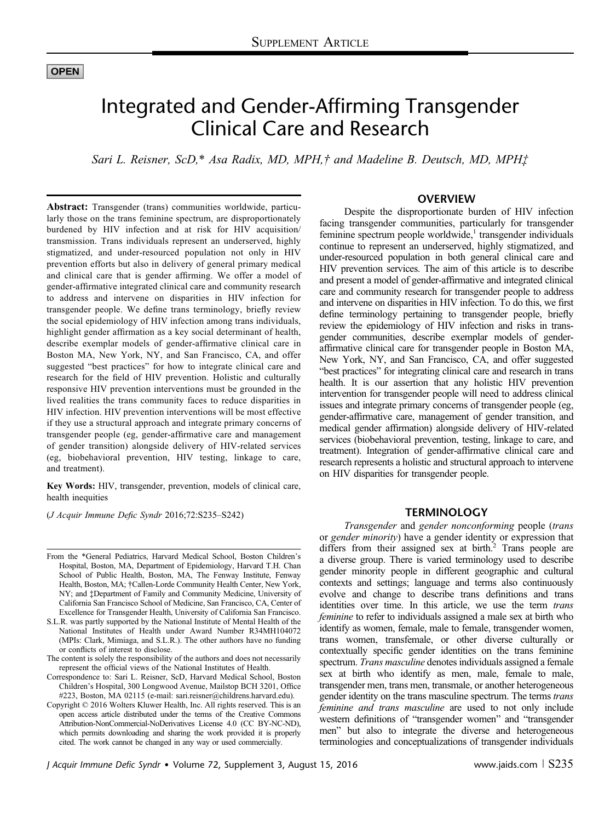# **OPEN**

# Integrated and Gender-Affirming Transgender Clinical Care and Research

Sari L. Reisner, ScD,\* Asa Radix, MD, MPH,† and Madeline B. Deutsch, MD, MPH $\ddagger$ 

Abstract: Transgender (trans) communities worldwide, particularly those on the trans feminine spectrum, are disproportionately burdened by HIV infection and at risk for HIV acquisition/ transmission. Trans individuals represent an underserved, highly stigmatized, and under-resourced population not only in HIV prevention efforts but also in delivery of general primary medical and clinical care that is gender affirming. We offer a model of gender-affirmative integrated clinical care and community research to address and intervene on disparities in HIV infection for transgender people. We define trans terminology, briefly review the social epidemiology of HIV infection among trans individuals, highlight gender affirmation as a key social determinant of health, describe exemplar models of gender-affirmative clinical care in Boston MA, New York, NY, and San Francisco, CA, and offer suggested "best practices" for how to integrate clinical care and research for the field of HIV prevention. Holistic and culturally responsive HIV prevention interventions must be grounded in the lived realities the trans community faces to reduce disparities in HIV infection. HIV prevention interventions will be most effective if they use a structural approach and integrate primary concerns of transgender people (eg, gender-affirmative care and management of gender transition) alongside delivery of HIV-related services (eg, biobehavioral prevention, HIV testing, linkage to care, and treatment).

Key Words: HIV, transgender, prevention, models of clinical care, health inequities

(J Acquir Immune Defic Syndr 2016;72:S235–S242)

From the \*General Pediatrics, Harvard Medical School, Boston Children's Hospital, Boston, MA, Department of Epidemiology, Harvard T.H. Chan School of Public Health, Boston, MA, The Fenway Institute, Fenway Health, Boston, MA; †Callen-Lorde Community Health Center, New York, NY; and ‡Department of Family and Community Medicine, University of California San Francisco School of Medicine, San Francisco, CA, Center of Excellence for Transgender Health, University of California San Francisco.

S.L.R. was partly supported by the National Institute of Mental Health of the National Institutes of Health under Award Number R34MH104072 (MPIs: Clark, Mimiaga, and S.L.R.). The other authors have no funding or conflicts of interest to disclose.

The content is solely the responsibility of the authors and does not necessarily represent the official views of the National Institutes of Health.

Correspondence to: Sari L. Reisner, ScD, Harvard Medical School, Boston Children's Hospital, 300 Longwood Avenue, Mailstop BCH 3201, Office #223, Boston, MA 02115 (e-mail: [sari.reisner@childrens.harvard.edu\)](mailto:sari.reisner@childrens.harvard.edu).

Copyright © 2016 Wolters Kluwer Health, Inc. All rights reserved. This is an open access article distributed under the terms of the [Creative Commons](http://creativecommons.org/licenses/by-nc-nd/4.0/) [Attribution-NonCommercial-NoDerivatives License 4.0 \(CC BY-NC-ND\)](http://creativecommons.org/licenses/by-nc-nd/4.0/), which permits downloading and sharing the work provided it is properly cited. The work cannot be changed in any way or used commercially.

#### **OVERVIEW**

Despite the disproportionate burden of HIV infection facing transgender communities, particularly for transgender feminine spectrum people worldwide, $\frac{1}{1}$  transgender individuals continue to represent an underserved, highly stigmatized, and under-resourced population in both general clinical care and HIV prevention services. The aim of this article is to describe and present a model of gender-affirmative and integrated clinical care and community research for transgender people to address and intervene on disparities in HIV infection. To do this, we first define terminology pertaining to transgender people, briefly review the epidemiology of HIV infection and risks in transgender communities, describe exemplar models of genderaffirmative clinical care for transgender people in Boston MA, New York, NY, and San Francisco, CA, and offer suggested "best practices" for integrating clinical care and research in trans health. It is our assertion that any holistic HIV prevention intervention for transgender people will need to address clinical issues and integrate primary concerns of transgender people (eg, gender-affirmative care, management of gender transition, and medical gender affirmation) alongside delivery of HIV-related services (biobehavioral prevention, testing, linkage to care, and treatment). Integration of gender-affirmative clinical care and research represents a holistic and structural approach to intervene on HIV disparities for transgender people.

#### **TERMINOLOGY**

Transgender and gender nonconforming people (trans or gender minority) have a gender identity or expression that differs from their assigned sex at birth. $<sup>2</sup>$  Trans people are</sup> a diverse group. There is varied terminology used to describe gender minority people in different geographic and cultural contexts and settings; language and terms also continuously evolve and change to describe trans definitions and trans identities over time. In this article, we use the term *trans* feminine to refer to individuals assigned a male sex at birth who identify as women, female, male to female, transgender women, trans women, transfemale, or other diverse culturally or contextually specific gender identities on the trans feminine spectrum. Trans masculine denotes individuals assigned a female sex at birth who identify as men, male, female to male, transgender men, trans men, transmale, or another heterogeneous gender identity on the trans masculine spectrum. The terms trans feminine and trans masculine are used to not only include western definitions of "transgender women" and "transgender men" but also to integrate the diverse and heterogeneous terminologies and conceptualizations of transgender individuals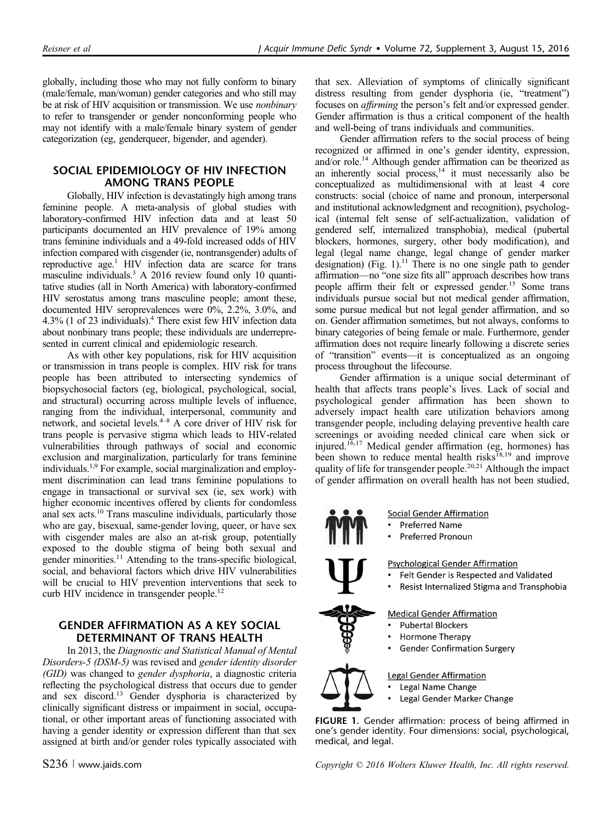globally, including those who may not fully conform to binary (male/female, man/woman) gender categories and who still may be at risk of HIV acquisition or transmission. We use *nonbinary* to refer to transgender or gender nonconforming people who may not identify with a male/female binary system of gender categorization (eg, genderqueer, bigender, and agender).

#### SOCIAL EPIDEMIOLOGY OF HIV INFECTION AMONG TRANS PEOPLE

Globally, HIV infection is devastatingly high among trans feminine people. A meta-analysis of global studies with laboratory-confirmed HIV infection data and at least 50 participants documented an HIV prevalence of 19% among trans feminine individuals and a 49-fold increased odds of HIV infection compared with cisgender (ie, nontransgender) adults of reproductive age.1 HIV infection data are scarce for trans masculine individuals.<sup>3</sup> A 2016 review found only 10 quantitative studies (all in North America) with laboratory-confirmed HIV serostatus among trans masculine people; amont these, documented HIV seroprevalences were 0%, 2.2%, 3.0%, and 4.3% (1 of 23 individuals).4 There exist few HIV infection data about nonbinary trans people; these individuals are underrepresented in current clinical and epidemiologic research.

As with other key populations, risk for HIV acquisition or transmission in trans people is complex. HIV risk for trans people has been attributed to intersecting syndemics of biopsychosocial factors (eg, biological, psychological, social, and structural) occurring across multiple levels of influence, ranging from the individual, interpersonal, community and network, and societal levels.<sup>4-8</sup> A core driver of HIV risk for trans people is pervasive stigma which leads to HIV-related vulnerabilities through pathways of social and economic exclusion and marginalization, particularly for trans feminine individuals.<sup>1,9</sup> For example, social marginalization and employment discrimination can lead trans feminine populations to engage in transactional or survival sex (ie, sex work) with higher economic incentives offered by clients for condomless anal sex acts.10 Trans masculine individuals, particularly those who are gay, bisexual, same-gender loving, queer, or have sex with cisgender males are also an at-risk group, potentially exposed to the double stigma of being both sexual and gender minorities.<sup>11</sup> Attending to the trans-specific biological, social, and behavioral factors which drive HIV vulnerabilities will be crucial to HIV prevention interventions that seek to curb HIV incidence in transgender people.<sup>12</sup>

# GENDER AFFIRMATION AS A KEY SOCIAL DETERMINANT OF TRANS HEALTH

In 2013, the Diagnostic and Statistical Manual of Mental Disorders-5 (DSM-5) was revised and gender identity disorder (GID) was changed to gender dysphoria, a diagnostic criteria reflecting the psychological distress that occurs due to gender and sex discord.13 Gender dysphoria is characterized by clinically significant distress or impairment in social, occupational, or other important areas of functioning associated with having a gender identity or expression different than that sex assigned at birth and/or gender roles typically associated with

that sex. Alleviation of symptoms of clinically significant distress resulting from gender dysphoria (ie, "treatment") focuses on affirming the person's felt and/or expressed gender. Gender affirmation is thus a critical component of the health and well-being of trans individuals and communities.

Gender affirmation refers to the social process of being recognized or affirmed in one's gender identity, expression, and/or role.<sup>14</sup> Although gender affirmation can be theorized as an inherently social process, $14$  it must necessarily also be conceptualized as multidimensional with at least 4 core constructs: social (choice of name and pronoun, interpersonal and institutional acknowledgment and recognition), psychological (internal felt sense of self-actualization, validation of gendered self, internalized transphobia), medical (pubertal blockers, hormones, surgery, other body modification), and legal (legal name change, legal change of gender marker designation) (Fig.  $1$ ).<sup>11</sup> There is no one single path to gender affirmation—no "one size fits all" approach describes how trans people affirm their felt or expressed gender.<sup>15</sup> Some trans individuals pursue social but not medical gender affirmation, some pursue medical but not legal gender affirmation, and so on. Gender affirmation sometimes, but not always, conforms to binary categories of being female or male. Furthermore, gender affirmation does not require linearly following a discrete series of "transition" events—it is conceptualized as an ongoing process throughout the lifecourse.

Gender affirmation is a unique social determinant of health that affects trans people's lives. Lack of social and psychological gender affirmation has been shown to adversely impact health care utilization behaviors among transgender people, including delaying preventive health care screenings or avoiding needed clinical care when sick or injured.<sup>16,17</sup> Medical gender affirmation (eg, hormones) has been shown to reduce mental health risks $18,19$  and improve quality of life for transgender people.<sup>20,21</sup> Although the impact of gender affirmation on overall health has not been studied,



FIGURE 1. Gender affirmation: process of being affirmed in one's gender identity. Four dimensions: social, psychological, medical, and legal.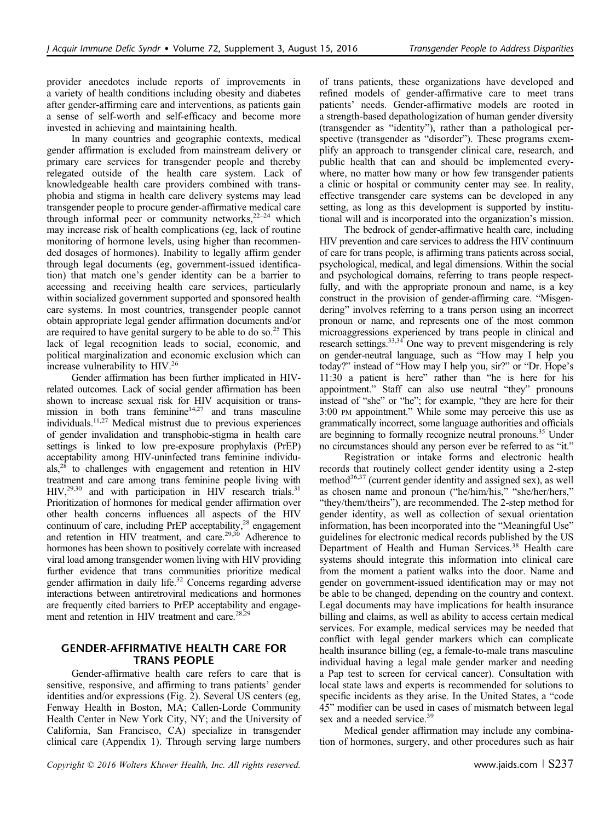provider anecdotes include reports of improvements in a variety of health conditions including obesity and diabetes after gender-affirming care and interventions, as patients gain a sense of self-worth and self-efficacy and become more invested in achieving and maintaining health.

In many countries and geographic contexts, medical gender affirmation is excluded from mainstream delivery or primary care services for transgender people and thereby relegated outside of the health care system. Lack of knowledgeable health care providers combined with transphobia and stigma in health care delivery systems may lead transgender people to procure gender-affirmative medical care through informal peer or community networks,  $2^{2-24}$  which may increase risk of health complications (eg, lack of routine monitoring of hormone levels, using higher than recommended dosages of hormones). Inability to legally affirm gender through legal documents (eg, government-issued identification) that match one's gender identity can be a barrier to accessing and receiving health care services, particularly within socialized government supported and sponsored health care systems. In most countries, transgender people cannot obtain appropriate legal gender affirmation documents and/or are required to have genital surgery to be able to do so. $25$  This lack of legal recognition leads to social, economic, and political marginalization and economic exclusion which can increase vulnerability to HIV.<sup>26</sup>

Gender affirmation has been further implicated in HIVrelated outcomes. Lack of social gender affirmation has been shown to increase sexual risk for HIV acquisition or transmission in both trans feminine<sup>14,27</sup> and trans masculine individuals.11,27 Medical mistrust due to previous experiences of gender invalidation and transphobic-stigma in health care settings is linked to low pre-exposure prophylaxis (PrEP) acceptability among HIV-uninfected trans feminine individu $als<sub>1</sub><sup>28</sup>$  to challenges with engagement and retention in HIV treatment and care among trans feminine people living with  $HIV<sub>1</sub><sup>29,30</sup>$  and with participation in HIV research trials.<sup>31</sup> Prioritization of hormones for medical gender affirmation over other health concerns influences all aspects of the HIV continuum of care, including PrEP acceptability,<sup>28</sup> engagement and retention in HIV treatment, and care.<sup>29,30</sup> Adherence to hormones has been shown to positively correlate with increased viral load among transgender women living with HIV providing further evidence that trans communities prioritize medical gender affirmation in daily life.<sup>32</sup> Concerns regarding adverse interactions between antiretroviral medications and hormones are frequently cited barriers to PrEP acceptability and engagement and retention in HIV treatment and care.<sup>28,29</sup>

#### GENDER-AFFIRMATIVE HEALTH CARE FOR TRANS PEOPLE

Gender-affirmative health care refers to care that is sensitive, responsive, and affirming to trans patients' gender identities and/or expressions (Fig. 2). Several US centers (eg, Fenway Health in Boston, MA; Callen-Lorde Community Health Center in New York City, NY; and the University of California, San Francisco, CA) specialize in transgender clinical care (Appendix 1). Through serving large numbers

of trans patients, these organizations have developed and refined models of gender-affirmative care to meet trans patients' needs. Gender-affirmative models are rooted in a strength-based depathologization of human gender diversity (transgender as "identity"), rather than a pathological perspective (transgender as "disorder"). These programs exemplify an approach to transgender clinical care, research, and public health that can and should be implemented everywhere, no matter how many or how few transgender patients a clinic or hospital or community center may see. In reality, effective transgender care systems can be developed in any setting, as long as this development is supported by institutional will and is incorporated into the organization's mission.

The bedrock of gender-affirmative health care, including HIV prevention and care services to address the HIV continuum of care for trans people, is affirming trans patients across social, psychological, medical, and legal dimensions. Within the social and psychological domains, referring to trans people respectfully, and with the appropriate pronoun and name, is a key construct in the provision of gender-affirming care. "Misgendering" involves referring to a trans person using an incorrect pronoun or name, and represents one of the most common microaggressions experienced by trans people in clinical and research settings.<sup>33,34</sup> One way to prevent misgendering is rely on gender-neutral language, such as "How may I help you today?" instead of "How may I help you, sir?" or "Dr. Hope's 11:30 a patient is here" rather than "he is here for his appointment." Staff can also use neutral "they" pronouns instead of "she" or "he"; for example, "they are here for their 3:00 PM appointment." While some may perceive this use as grammatically incorrect, some language authorities and officials are beginning to formally recognize neutral pronouns.<sup>35</sup> Under no circumstances should any person ever be referred to as "it."

Registration or intake forms and electronic health records that routinely collect gender identity using a 2-step method $36,37$  (current gender identity and assigned sex), as well as chosen name and pronoun ("he/him/his," "she/her/hers," "they/them/theirs"), are recommended. The 2-step method for gender identity, as well as collection of sexual orientation information, has been incorporated into the "Meaningful Use" guidelines for electronic medical records published by the US Department of Health and Human Services.<sup>38</sup> Health care systems should integrate this information into clinical care from the moment a patient walks into the door. Name and gender on government-issued identification may or may not be able to be changed, depending on the country and context. Legal documents may have implications for health insurance billing and claims, as well as ability to access certain medical services. For example, medical services may be needed that conflict with legal gender markers which can complicate health insurance billing (eg, a female-to-male trans masculine individual having a legal male gender marker and needing a Pap test to screen for cervical cancer). Consultation with local state laws and experts is recommended for solutions to specific incidents as they arise. In the United States, a "code 45" modifier can be used in cases of mismatch between legal sex and a needed service.<sup>39</sup>

Medical gender affirmation may include any combination of hormones, surgery, and other procedures such as hair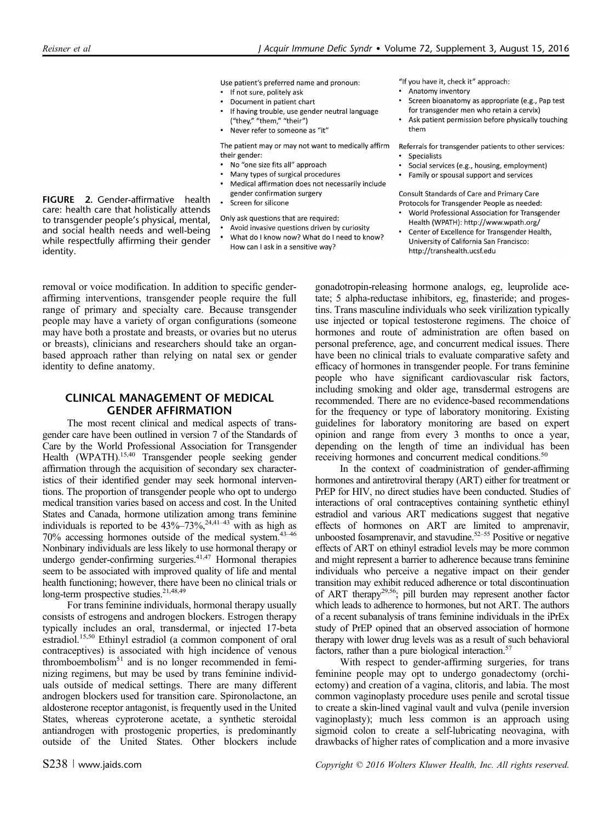Use patient's preferred name and pronoun:

- If not sure, politely ask
- Document in patient chart
- If having trouble, use gender neutral language ("they," "them," "their")
- Never refer to someone as "it"

The patient may or may not want to medically affirm their gender:

- No "one size fits all" approach
- Many types of surgical procedures
- Medical affirmation does not necessarily include gender confirmation surgery
- Screen for silicone

Only ask questions that are required:

- Avoid invasive questions driven by curiosity
- What do I know now? What do I need to know? How can I ask in a sensitive way?

"If you have it, check it" approach:

- Anatomy inventory
- $\ddot{\phantom{a}}$ Screen bioanatomy as appropriate (e.g., Pap test for transgender men who retain a cervix)
- Ask patient permission before physically touching them

Referrals for transgender patients to other services: Specialists

- $\bullet$ Social services (e.g., housing, employment)
- Family or spousal support and services

Consult Standards of Care and Primary Care Protocols for Transgender People as needed:

- World Professional Association for Transgender Health (WPATH): http://www.wpath.org/
- Center of Excellence for Transgender Health, University of California San Francisco: http://transhealth.ucsf.edu

FIGURE 2. Gender-affirmative health care: health care that holistically attends to transgender people's physical, mental, and social health needs and well-being while respectfully affirming their gender identity.

removal or voice modification. In addition to specific genderaffirming interventions, transgender people require the full range of primary and specialty care. Because transgender people may have a variety of organ configurations (someone may have both a prostate and breasts, or ovaries but no uterus or breasts), clinicians and researchers should take an organbased approach rather than relying on natal sex or gender identity to define anatomy.

#### CLINICAL MANAGEMENT OF MEDICAL GENDER AFFIRMATION

The most recent clinical and medical aspects of transgender care have been outlined in version 7 of the Standards of Care by the World Professional Association for Transgender Health (WPATH).<sup>15,40</sup> Transgender people seeking gender affirmation through the acquisition of secondary sex characteristics of their identified gender may seek hormonal interventions. The proportion of transgender people who opt to undergo medical transition varies based on access and cost. In the United States and Canada, hormone utilization among trans feminine individuals is reported to be  $43\% - 73\%$ ,  $24,41-43$  with as high as 70% accessing hormones outside of the medical system.43–<sup>46</sup> Nonbinary individuals are less likely to use hormonal therapy or undergo gender-confirming surgeries. $41,47$  Hormonal therapies seem to be associated with improved quality of life and mental health functioning; however, there have been no clinical trials or long-term prospective studies.<sup>21,48,49</sup>

For trans feminine individuals, hormonal therapy usually consists of estrogens and androgen blockers. Estrogen therapy typically includes an oral, transdermal, or injected 17-beta estradiol.15,50 Ethinyl estradiol (a common component of oral contraceptives) is associated with high incidence of venous thromboembolism<sup>51</sup> and is no longer recommended in feminizing regimens, but may be used by trans feminine individuals outside of medical settings. There are many different androgen blockers used for transition care. Spironolactone, an aldosterone receptor antagonist, is frequently used in the United States, whereas cyproterone acetate, a synthetic steroidal antiandrogen with prostogenic properties, is predominantly outside of the United States. Other blockers include

gonadotropin-releasing hormone analogs, eg, leuprolide acetate; 5 alpha-reductase inhibitors, eg, finasteride; and progestins. Trans masculine individuals who seek virilization typically use injected or topical testosterone regimens. The choice of hormones and route of administration are often based on personal preference, age, and concurrent medical issues. There have been no clinical trials to evaluate comparative safety and efficacy of hormones in transgender people. For trans feminine people who have significant cardiovascular risk factors, including smoking and older age, transdermal estrogens are recommended. There are no evidence-based recommendations for the frequency or type of laboratory monitoring. Existing guidelines for laboratory monitoring are based on expert opinion and range from every 3 months to once a year, depending on the length of time an individual has been receiving hormones and concurrent medical conditions.<sup>50</sup>

In the context of coadministration of gender-affirming hormones and antiretroviral therapy (ART) either for treatment or PrEP for HIV, no direct studies have been conducted. Studies of interactions of oral contraceptives containing synthetic ethinyl estradiol and various ART medications suggest that negative effects of hormones on ART are limited to amprenavir, unboosted fosamprenavir, and stavudine.<sup>52–55</sup> Positive or negative effects of ART on ethinyl estradiol levels may be more common and might represent a barrier to adherence because trans feminine individuals who perceive a negative impact on their gender transition may exhibit reduced adherence or total discontinuation of ART therapy<sup>29,56</sup>; pill burden may represent another factor which leads to adherence to hormones, but not ART. The authors of a recent subanalysis of trans feminine individuals in the iPrEx study of PrEP opined that an observed association of hormone therapy with lower drug levels was as a result of such behavioral factors, rather than a pure biological interaction.<sup>57</sup>

With respect to gender-affirming surgeries, for trans feminine people may opt to undergo gonadectomy (orchiectomy) and creation of a vagina, clitoris, and labia. The most common vaginoplasty procedure uses penile and scrotal tissue to create a skin-lined vaginal vault and vulva (penile inversion vaginoplasty); much less common is an approach using sigmoid colon to create a self-lubricating neovagina, with drawbacks of higher rates of complication and a more invasive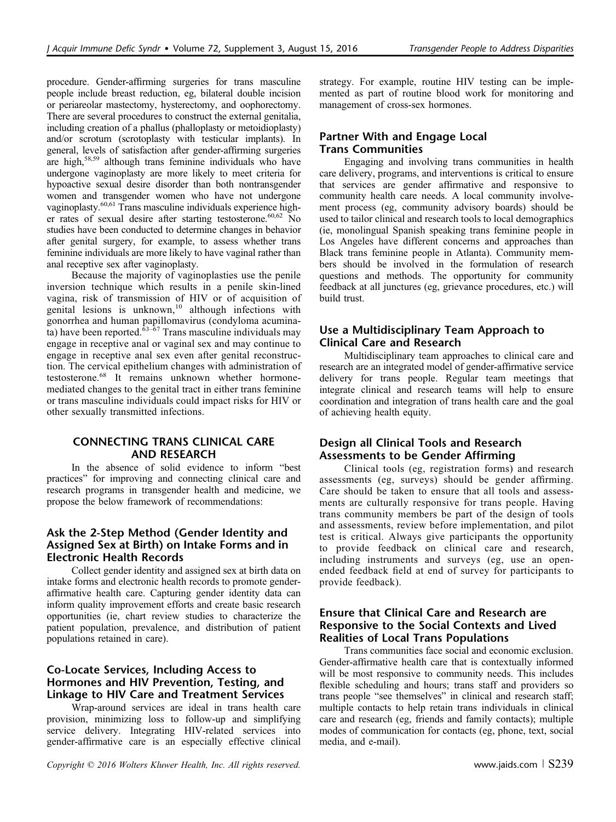procedure. Gender-affirming surgeries for trans masculine people include breast reduction, eg, bilateral double incision or periareolar mastectomy, hysterectomy, and oophorectomy. There are several procedures to construct the external genitalia, including creation of a phallus (phalloplasty or metoidioplasty) and/or scrotum (scrotoplasty with testicular implants). In general, levels of satisfaction after gender-affirming surgeries are high,58,59 although trans feminine individuals who have undergone vaginoplasty are more likely to meet criteria for hypoactive sexual desire disorder than both nontransgender women and transgender women who have not undergone vaginoplasty.60,61 Trans masculine individuals experience higher rates of sexual desire after starting testosterone. $60,62$  No studies have been conducted to determine changes in behavior after genital surgery, for example, to assess whether trans feminine individuals are more likely to have vaginal rather than anal receptive sex after vaginoplasty.

Because the majority of vaginoplasties use the penile inversion technique which results in a penile skin-lined vagina, risk of transmission of HIV or of acquisition of genital lesions is unknown,<sup>10</sup> although infections with gonorrhea and human papillomavirus (condyloma acuminata) have been reported.<sup> $\delta$ 3– $\delta$ 7 Trans masculine individuals may</sup> engage in receptive anal or vaginal sex and may continue to engage in receptive anal sex even after genital reconstruction. The cervical epithelium changes with administration of testosterone.<sup>68</sup> It remains unknown whether hormonemediated changes to the genital tract in either trans feminine or trans masculine individuals could impact risks for HIV or other sexually transmitted infections.

## CONNECTING TRANS CLINICAL CARE AND RESEARCH

In the absence of solid evidence to inform "best practices" for improving and connecting clinical care and research programs in transgender health and medicine, we propose the below framework of recommendations:

## Ask the 2-Step Method (Gender Identity and Assigned Sex at Birth) on Intake Forms and in Electronic Health Records

Collect gender identity and assigned sex at birth data on intake forms and electronic health records to promote genderaffirmative health care. Capturing gender identity data can inform quality improvement efforts and create basic research opportunities (ie, chart review studies to characterize the patient population, prevalence, and distribution of patient populations retained in care).

## Co-Locate Services, Including Access to Hormones and HIV Prevention, Testing, and Linkage to HIV Care and Treatment Services

Wrap-around services are ideal in trans health care provision, minimizing loss to follow-up and simplifying service delivery. Integrating HIV-related services into gender-affirmative care is an especially effective clinical strategy. For example, routine HIV testing can be implemented as part of routine blood work for monitoring and management of cross-sex hormones.

#### Partner With and Engage Local Trans Communities

Engaging and involving trans communities in health care delivery, programs, and interventions is critical to ensure that services are gender affirmative and responsive to community health care needs. A local community involvement process (eg, community advisory boards) should be used to tailor clinical and research tools to local demographics (ie, monolingual Spanish speaking trans feminine people in Los Angeles have different concerns and approaches than Black trans feminine people in Atlanta). Community members should be involved in the formulation of research questions and methods. The opportunity for community feedback at all junctures (eg, grievance procedures, etc.) will build trust.

#### Use a Multidisciplinary Team Approach to Clinical Care and Research

Multidisciplinary team approaches to clinical care and research are an integrated model of gender-affirmative service delivery for trans people. Regular team meetings that integrate clinical and research teams will help to ensure coordination and integration of trans health care and the goal of achieving health equity.

#### Design all Clinical Tools and Research Assessments to be Gender Affirming

Clinical tools (eg, registration forms) and research assessments (eg, surveys) should be gender affirming. Care should be taken to ensure that all tools and assessments are culturally responsive for trans people. Having trans community members be part of the design of tools and assessments, review before implementation, and pilot test is critical. Always give participants the opportunity to provide feedback on clinical care and research, including instruments and surveys (eg, use an openended feedback field at end of survey for participants to provide feedback).

#### Ensure that Clinical Care and Research are Responsive to the Social Contexts and Lived Realities of Local Trans Populations

Trans communities face social and economic exclusion. Gender-affirmative health care that is contextually informed will be most responsive to community needs. This includes flexible scheduling and hours; trans staff and providers so trans people "see themselves" in clinical and research staff; multiple contacts to help retain trans individuals in clinical care and research (eg, friends and family contacts); multiple modes of communication for contacts (eg, phone, text, social media, and e-mail).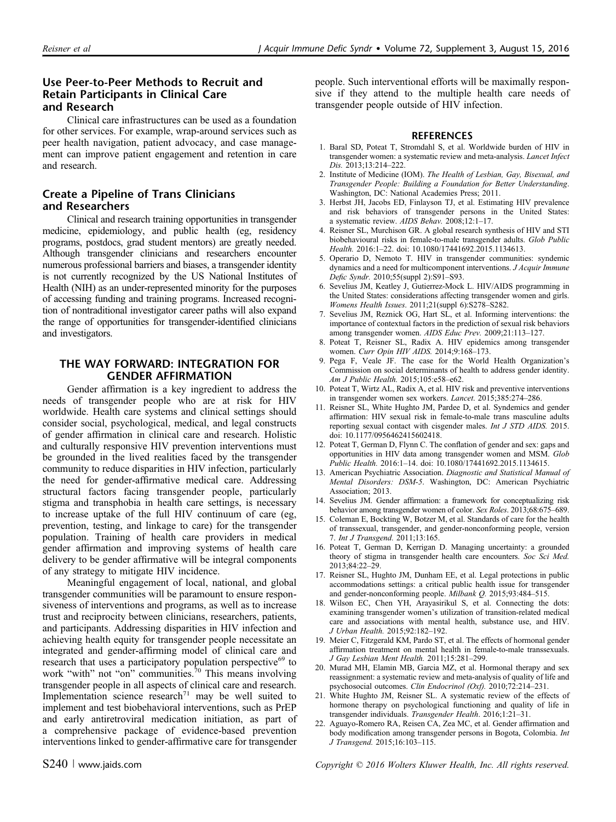#### Use Peer-to-Peer Methods to Recruit and Retain Participants in Clinical Care and Research

Clinical care infrastructures can be used as a foundation for other services. For example, wrap-around services such as peer health navigation, patient advocacy, and case management can improve patient engagement and retention in care and research.

# Create a Pipeline of Trans Clinicians and Researchers

Clinical and research training opportunities in transgender medicine, epidemiology, and public health (eg, residency programs, postdocs, grad student mentors) are greatly needed. Although transgender clinicians and researchers encounter numerous professional barriers and biases, a transgender identity is not currently recognized by the US National Institutes of Health (NIH) as an under-represented minority for the purposes of accessing funding and training programs. Increased recognition of nontraditional investigator career paths will also expand the range of opportunities for transgender-identified clinicians and investigators.

#### THE WAY FORWARD: INTEGRATION FOR GENDER AFFIRMATION

Gender affirmation is a key ingredient to address the needs of transgender people who are at risk for HIV worldwide. Health care systems and clinical settings should consider social, psychological, medical, and legal constructs of gender affirmation in clinical care and research. Holistic and culturally responsive HIV prevention interventions must be grounded in the lived realities faced by the transgender community to reduce disparities in HIV infection, particularly the need for gender-affirmative medical care. Addressing structural factors facing transgender people, particularly stigma and transphobia in health care settings, is necessary to increase uptake of the full HIV continuum of care (eg, prevention, testing, and linkage to care) for the transgender population. Training of health care providers in medical gender affirmation and improving systems of health care delivery to be gender affirmative will be integral components of any strategy to mitigate HIV incidence.

Meaningful engagement of local, national, and global transgender communities will be paramount to ensure responsiveness of interventions and programs, as well as to increase trust and reciprocity between clinicians, researchers, patients, and participants. Addressing disparities in HIV infection and achieving health equity for transgender people necessitate an integrated and gender-affirming model of clinical care and research that uses a participatory population perspective<sup>69</sup> to work "with" not "on" communities.<sup>70</sup> This means involving transgender people in all aspects of clinical care and research. Implementation science  $research<sup>71</sup>$  may be well suited to implement and test biobehavioral interventions, such as PrEP and early antiretroviral medication initiation, as part of a comprehensive package of evidence-based prevention interventions linked to gender-affirmative care for transgender

people. Such interventional efforts will be maximally responsive if they attend to the multiple health care needs of transgender people outside of HIV infection.

#### **REFERENCES**

- 1. Baral SD, Poteat T, Stromdahl S, et al. Worldwide burden of HIV in transgender women: a systematic review and meta-analysis. Lancet Infect Dis. 2013;13:214–222.
- 2. Institute of Medicine (IOM). The Health of Lesbian, Gay, Bisexual, and Transgender People: Building a Foundation for Better Understanding. Washington, DC: National Academies Press; 2011.
- 3. Herbst JH, Jacobs ED, Finlayson TJ, et al. Estimating HIV prevalence and risk behaviors of transgender persons in the United States: a systematic review. AIDS Behav. 2008;12:1–17.
- 4. Reisner SL, Murchison GR. A global research synthesis of HIV and STI biobehavioural risks in female-to-male transgender adults. Glob Public Health. 2016:1–22. doi: [10.1080/17441692.2015.1134613.](http://10.1080/17441692.2015.1134613)
- 5. Operario D, Nemoto T. HIV in transgender communities: syndemic dynamics and a need for multicomponent interventions. J Acquir Immune Defic Syndr. 2010;55(suppl 2):S91–S93.
- 6. Sevelius JM, Keatley J, Gutierrez-Mock L. HIV/AIDS programming in the United States: considerations affecting transgender women and girls. Womens Health Issues. 2011;21(suppl 6):S278–S282.
- 7. Sevelius JM, Reznick OG, Hart SL, et al. Informing interventions: the importance of contextual factors in the prediction of sexual risk behaviors among transgender women. AIDS Educ Prev. 2009;21:113–127.
- 8. Poteat T, Reisner SL, Radix A. HIV epidemics among transgender women. Curr Opin HIV AIDS. 2014;9:168-173.
- 9. Pega F, Veale JF. The case for the World Health Organization's Commission on social determinants of health to address gender identity. Am J Public Health. 2015;105:e58–e62.
- 10. Poteat T, Wirtz AL, Radix A, et al. HIV risk and preventive interventions in transgender women sex workers. Lancet. 2015;385:274–286.
- 11. Reisner SL, White Hughto JM, Pardee D, et al. Syndemics and gender affirmation: HIV sexual risk in female-to-male trans masculine adults reporting sexual contact with cisgender males. Int J STD AIDS. 2015. doi: [10.1177/0956462415602418](http://dx.doi.org/10.1177/0956462415602418).
- 12. Poteat T, German D, Flynn C. The conflation of gender and sex: gaps and opportunities in HIV data among transgender women and MSM. Glob Public Health. 2016:1–14. doi: [10.1080/17441692.2015.1134615](http://dx.doi.org/10.1080/17441692.2015.1134615).
- 13. American Psychiatric Association. Diagnostic and Statistical Manual of Mental Disorders: DSM-5. Washington, DC: American Psychiatric Association; 2013.
- 14. Sevelius JM. Gender affirmation: a framework for conceptualizing risk behavior among transgender women of color. Sex Roles. 2013;68:675–689.
- 15. Coleman E, Bockting W, Botzer M, et al. Standards of care for the health of transsexual, transgender, and gender-nonconforming people, version 7. Int J Transgend. 2011;13:165.
- 16. Poteat T, German D, Kerrigan D. Managing uncertainty: a grounded theory of stigma in transgender health care encounters. Soc Sci Med. 2013;84:22–29.
- 17. Reisner SL, Hughto JM, Dunham EE, et al. Legal protections in public accommodations settings: a critical public health issue for transgender and gender-nonconforming people. Milbank Q. 2015;93:484–515.
- 18. Wilson EC, Chen YH, Arayasirikul S, et al. Connecting the dots: examining transgender women's utilization of transition-related medical care and associations with mental health, substance use, and HIV. J Urban Health. 2015;92:182–192.
- 19. Meier C, Fitzgerald KM, Pardo ST, et al. The effects of hormonal gender affirmation treatment on mental health in female-to-male transsexuals. J Gay Lesbian Ment Health. 2011;15:281–299.
- 20. Murad MH, Elamin MB, Garcia MZ, et al. Hormonal therapy and sex reassignment: a systematic review and meta-analysis of quality of life and psychosocial outcomes. Clin Endocrinol (Oxf). 2010;72:214–231.
- 21. White Hughto JM, Reisner SL. A systematic review of the effects of hormone therapy on psychological functioning and quality of life in transgender individuals. Transgender Health. 2016;1:21–31.
- 22. Aguayo-Romero RA, Reisen CA, Zea MC, et al. Gender affirmation and body modification among transgender persons in Bogota, Colombia. Int J Transgend. 2015;16:103–115.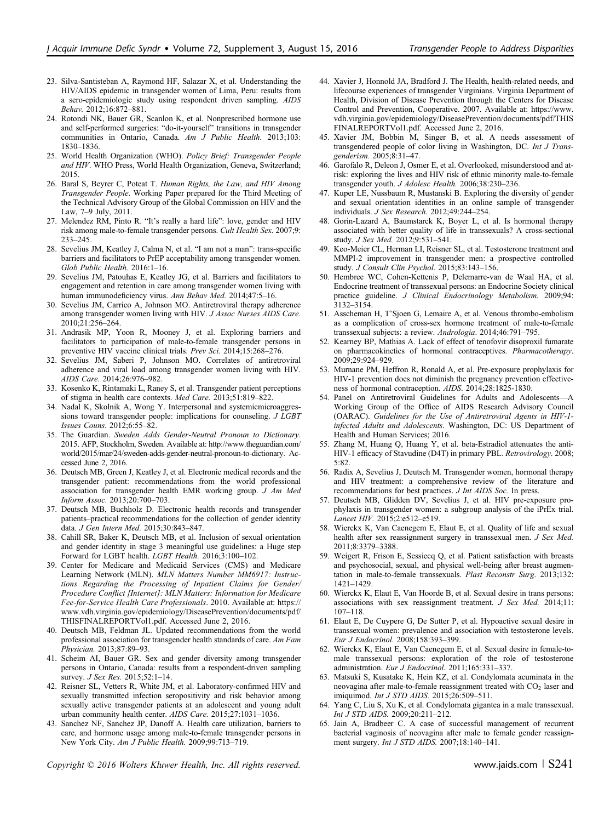- 23. Silva-Santisteban A, Raymond HF, Salazar X, et al. Understanding the HIV/AIDS epidemic in transgender women of Lima, Peru: results from a sero-epidemiologic study using respondent driven sampling. AIDS Behav. 2012;16:872–881.
- 24. Rotondi NK, Bauer GR, Scanlon K, et al. Nonprescribed hormone use and self-performed surgeries: "do-it-yourself" transitions in transgender communities in Ontario, Canada. Am J Public Health. 2013;103: 1830–1836.
- 25. World Health Organization (WHO). Policy Brief: Transgender People and HIV. WHO Press, World Health Organization, Geneva, Switzerland; 2015.
- 26. Baral S, Beyrer C, Poteat T. Human Rights, the Law, and HIV Among Transgender People. Working Paper prepared for the Third Meeting of the Technical Advisory Group of the Global Commission on HIV and the Law, 7–9 July, 2011.
- 27. Melendez RM, Pinto R. "It's really a hard life": love, gender and HIV risk among male-to-female transgender persons. Cult Health Sex. 2007;9: 233–245.
- 28. Sevelius JM, Keatley J, Calma N, et al. "I am not a man": trans-specific barriers and facilitators to PrEP acceptability among transgender women. Glob Public Health. 2016:1–16.
- 29. Sevelius JM, Patouhas E, Keatley JG, et al. Barriers and facilitators to engagement and retention in care among transgender women living with human immunodeficiency virus. Ann Behav Med. 2014;47:5–16.
- 30. Sevelius JM, Carrico A, Johnson MO. Antiretroviral therapy adherence among transgender women living with HIV. J Assoc Nurses AIDS Care. 2010;21:256–264.
- 31. Andrasik MP, Yoon R, Mooney J, et al. Exploring barriers and facilitators to participation of male-to-female transgender persons in preventive HIV vaccine clinical trials. Prev Sci. 2014;15:268–276.
- 32. Sevelius JM, Saberi P, Johnson MO. Correlates of antiretroviral adherence and viral load among transgender women living with HIV. AIDS Care. 2014;26:976–982.
- 33. Kosenko K, Rintamaki L, Raney S, et al. Transgender patient perceptions of stigma in health care contexts. Med Care. 2013;51:819–822.
- 34. Nadal K, Skolnik A, Wong Y. Interpersonal and systemicmicroaggressions toward transgender people: implications for counseling. J LGBT Issues Couns. 2012;6:55–82.
- 35. The Guardian. Sweden Adds Gender-Neutral Pronoun to Dictionary. 2015. AFP, Stockholm, Sweden. Available at: [http://www.theguardian.com/](http://www.theguardian.com/world/2015/mar/24/sweden-adds-gender-neutral-pronoun-to-dictionary) [world/2015/mar/24/sweden-adds-gender-neutral-pronoun-to-dictionary](http://www.theguardian.com/world/2015/mar/24/sweden-adds-gender-neutral-pronoun-to-dictionary). Accessed June 2, 2016.
- 36. Deutsch MB, Green J, Keatley J, et al. Electronic medical records and the transgender patient: recommendations from the world professional association for transgender health EMR working group. J Am Med Inform Assoc. 2013;20:700–703.
- 37. Deutsch MB, Buchholz D. Electronic health records and transgender patients–practical recommendations for the collection of gender identity data. J Gen Intern Med. 2015;30:843–847.
- 38. Cahill SR, Baker K, Deutsch MB, et al. Inclusion of sexual orientation and gender identity in stage 3 meaningful use guidelines: a Huge step Forward for LGBT health. LGBT Health. 2016;3:100–102.
- 39. Center for Medicare and Medicaid Services (CMS) and Medicare Learning Network (MLN). MLN Matters Number MM6917: Instructions Regarding the Processing of Inpatient Claims for Gender/ Procedure Conflict [Internet]: MLN Matters: Information for Medicare Fee-for-Service Health Care Professionals. 2010. Available at: [https://](https://www.vdh.virginia.gov/epidemiology/DiseasePrevention/documents/pdf/THISFINALREPORTVol1.pdf) [www.vdh.virginia.gov/epidemiology/DiseasePrevention/documents/pdf/](https://www.vdh.virginia.gov/epidemiology/DiseasePrevention/documents/pdf/THISFINALREPORTVol1.pdf) [THISFINALREPORTVol1.pdf.](https://www.vdh.virginia.gov/epidemiology/DiseasePrevention/documents/pdf/THISFINALREPORTVol1.pdf) Accessed June 2, 2016.
- 40. Deutsch MB, Feldman JL. Updated recommendations from the world professional association for transgender health standards of care. Am Fam Physician. 2013;87:89–93.
- 41. Scheim AI, Bauer GR. Sex and gender diversity among transgender persons in Ontario, Canada: results from a respondent-driven sampling survey. *J Sex Res.* 2015;52:1-14.
- 42. Reisner SL, Vetters R, White JM, et al. Laboratory-confirmed HIV and sexually transmitted infection seropositivity and risk behavior among sexually active transgender patients at an adolescent and young adult urban community health center. AIDS Care. 2015;27:1031–1036.
- 43. Sanchez NF, Sanchez JP, Danoff A. Health care utilization, barriers to care, and hormone usage among male-to-female transgender persons in New York City. Am J Public Health. 2009;99:713–719.

44. Xavier J, Honnold JA, Bradford J. The Health, health-related needs, and lifecourse experiences of transgender Virginians. Virginia Department of Health, Division of Disease Prevention through the Centers for Disease Control and Prevention, Cooperative. 2007. Available at: [https://www.](https://www.vdh.virginia.gov/epidemiology/DiseasePrevention/documents/pdf/THISFINALREPORTVol1.pdf) [vdh.virginia.gov/epidemiology/DiseasePrevention/documents/pdf/THIS](https://www.vdh.virginia.gov/epidemiology/DiseasePrevention/documents/pdf/THISFINALREPORTVol1.pdf) [FINALREPORTVol1.pdf.](https://www.vdh.virginia.gov/epidemiology/DiseasePrevention/documents/pdf/THISFINALREPORTVol1.pdf) Accessed June 2, 2016.

- 45. Xavier JM, Bobbin M, Singer B, et al. A needs assessment of transgendered people of color living in Washington, DC. Int J Transgenderism. 2005;8:31–47.
- 46. Garofalo R, Deleon J, Osmer E, et al. Overlooked, misunderstood and atrisk: exploring the lives and HIV risk of ethnic minority male-to-female transgender youth. J Adolesc Health. 2006;38:230–236.
- 47. Kuper LE, Nussbaum R, Mustanski B. Exploring the diversity of gender and sexual orientation identities in an online sample of transgender individuals. J Sex Research. 2012;49:244–254.
- 48. Gorin-Lazard A, Baumstarck K, Boyer L, et al. Is hormonal therapy associated with better quality of life in transsexuals? A cross-sectional study. J Sex Med. 2012;9:531–541.
- 49. Keo-Meier CL, Herman LI, Reisner SL, et al. Testosterone treatment and MMPI-2 improvement in transgender men: a prospective controlled study. J Consult Clin Psychol. 2015;83:143–156.
- 50. Hembree WC, Cohen-Kettenis P, Delemarre-van de Waal HA, et al. Endocrine treatment of transsexual persons: an Endocrine Society clinical practice guideline. J Clinical Endocrinology Metabolism. 2009;94: 3132–3154.
- 51. Asscheman H, T'Sjoen G, Lemaire A, et al. Venous thrombo-embolism as a complication of cross-sex hormone treatment of male-to-female transsexual subjects: a review. Andrologia. 2014;46:791–795.
- 52. Kearney BP, Mathias A. Lack of effect of tenofovir disoproxil fumarate on pharmacokinetics of hormonal contraceptives. Pharmacotherapy. 2009;29:924–929.
- 53. Murnane PM, Heffron R, Ronald A, et al. Pre-exposure prophylaxis for HIV-1 prevention does not diminish the pregnancy prevention effectiveness of hormonal contraception. AIDS. 2014;28:1825-1830.
- 54. Panel on Antiretroviral Guidelines for Adults and Adolescents—A Working Group of the Office of AIDS Research Advisory Council (OARAC). Guidelines for the Use of Antiretroviral Agents in HIV-1 infected Adults and Adolescents. Washington, DC: US Department of Health and Human Services; 2016.
- 55. Zhang M, Huang Q, Huang Y, et al. beta-Estradiol attenuates the anti-HIV-1 efficacy of Stavudine (D4T) in primary PBL. Retrovirology. 2008; 5:82.
- 56. Radix A, Sevelius J, Deutsch M. Transgender women, hormonal therapy and HIV treatment: a comprehensive review of the literature and recommendations for best practices. J Int AIDS Soc. In press.
- 57. Deutsch MB, Glidden DV, Sevelius J, et al. HIV pre-exposure prophylaxis in transgender women: a subgroup analysis of the iPrEx trial. Lancet HIV. 2015;2:e512–e519.
- 58. Wierckx K, Van Caenegem E, Elaut E, et al. Quality of life and sexual health after sex reassignment surgery in transsexual men. J Sex Med. 2011;8:3379–3388.
- 59. Weigert R, Frison E, Sessiecq Q, et al. Patient satisfaction with breasts and psychosocial, sexual, and physical well-being after breast augmentation in male-to-female transsexuals. Plast Reconstr Surg. 2013;132: 1421–1429.
- 60. Wierckx K, Elaut E, Van Hoorde B, et al. Sexual desire in trans persons: associations with sex reassignment treatment. J Sex Med. 2014;11: 107–118.
- 61. Elaut E, De Cuypere G, De Sutter P, et al. Hypoactive sexual desire in transsexual women: prevalence and association with testosterone levels. Eur J Endocrinol. 2008;158:393–399.
- 62. Wierckx K, Elaut E, Van Caenegem E, et al. Sexual desire in female-tomale transsexual persons: exploration of the role of testosterone administration. Eur J Endocrinol. 2011;165:331–337.
- 63. Matsuki S, Kusatake K, Hein KZ, et al. Condylomata acuminata in the neovagina after male-to-female reassignment treated with  $CO<sub>2</sub>$  laser and imiquimod. Int J STD AIDS. 2015;26:509–511.
- 64. Yang C, Liu S, Xu K, et al. Condylomata gigantea in a male transsexual. Int J STD AIDS. 2009;20:211–212.
- 65. Jain A, Bradbeer C. A case of successful management of recurrent bacterial vaginosis of neovagina after male to female gender reassignment surgery. Int J STD AIDS. 2007;18:140–141.

Copyright  $\odot$  2016 Wolters Kluwer Health, Inc. All rights reserved. www.jaids.com | S241